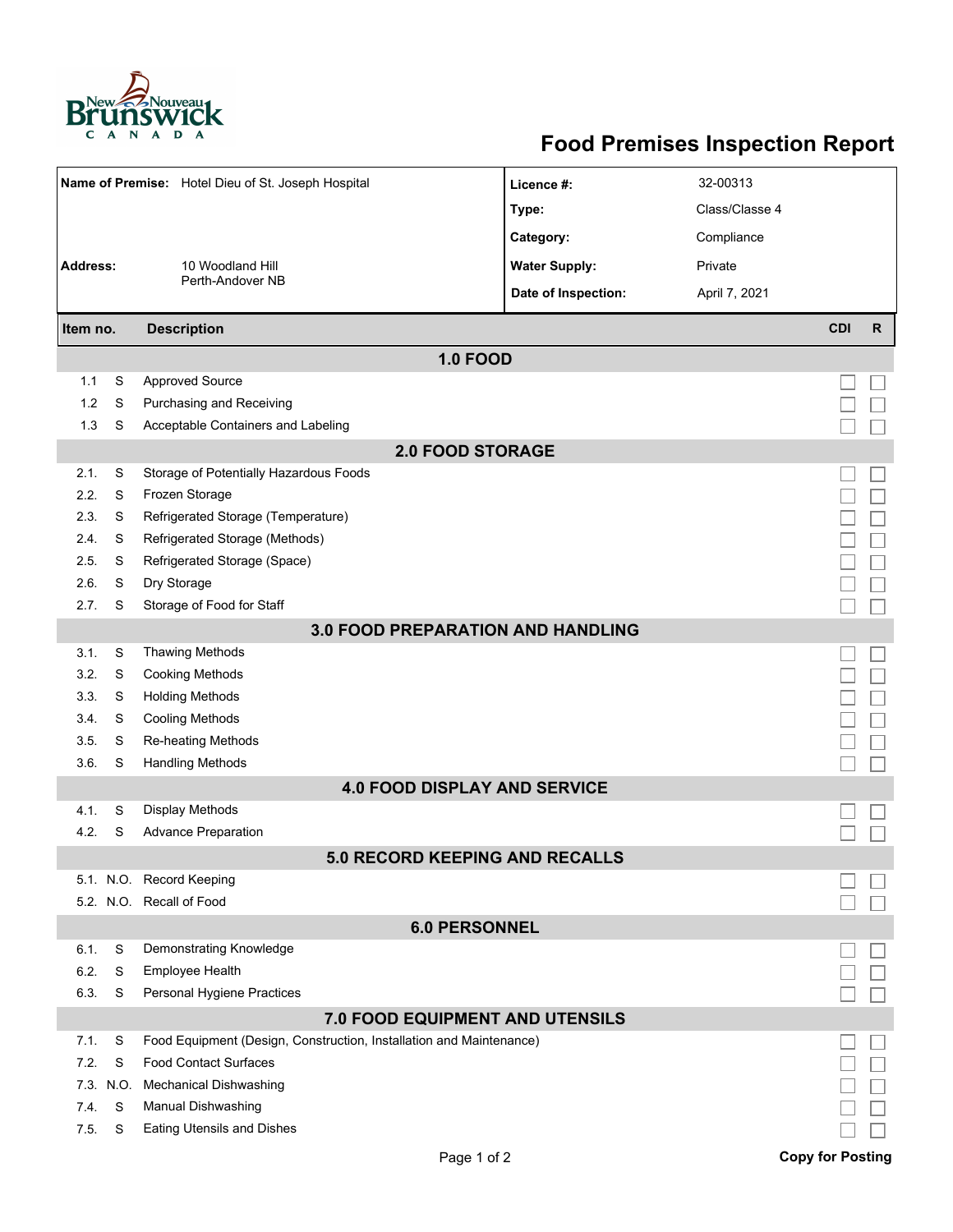

## **Food Premises Inspection Report**

| Name of Premise: Hotel Dieu of St. Joseph Hospital |      |                                                                     | Licence #:           | 32-00313       |                         |              |  |  |  |
|----------------------------------------------------|------|---------------------------------------------------------------------|----------------------|----------------|-------------------------|--------------|--|--|--|
|                                                    |      |                                                                     | Type:                | Class/Classe 4 |                         |              |  |  |  |
|                                                    |      |                                                                     | Category:            | Compliance     |                         |              |  |  |  |
| <b>Address:</b>                                    |      | 10 Woodland Hill                                                    | <b>Water Supply:</b> | Private        |                         |              |  |  |  |
|                                                    |      | Perth-Andover NB                                                    | Date of Inspection:  | April 7, 2021  |                         |              |  |  |  |
|                                                    |      |                                                                     |                      |                |                         |              |  |  |  |
| Item no.                                           |      | <b>Description</b>                                                  |                      |                | <b>CDI</b>              | $\mathsf{R}$ |  |  |  |
|                                                    |      | <b>1.0 FOOD</b>                                                     |                      |                |                         |              |  |  |  |
| 1.1                                                | S    | <b>Approved Source</b>                                              |                      |                |                         |              |  |  |  |
| 1.2                                                | S    | Purchasing and Receiving                                            |                      |                |                         |              |  |  |  |
| 1.3                                                | S    | Acceptable Containers and Labeling                                  |                      |                |                         |              |  |  |  |
| <b>2.0 FOOD STORAGE</b>                            |      |                                                                     |                      |                |                         |              |  |  |  |
| 2.1.                                               | S    | Storage of Potentially Hazardous Foods                              |                      |                |                         |              |  |  |  |
| 2.2.                                               | S    | Frozen Storage                                                      |                      |                |                         |              |  |  |  |
| 2.3.                                               | S    | Refrigerated Storage (Temperature)                                  |                      |                |                         |              |  |  |  |
| 2.4.                                               | S    | Refrigerated Storage (Methods)                                      |                      |                |                         |              |  |  |  |
| 2.5.                                               | S    | Refrigerated Storage (Space)                                        |                      |                |                         |              |  |  |  |
| 2.6.                                               | S    | Dry Storage                                                         |                      |                |                         |              |  |  |  |
| 2.7.                                               | S    | Storage of Food for Staff                                           |                      |                |                         |              |  |  |  |
| <b>3.0 FOOD PREPARATION AND HANDLING</b>           |      |                                                                     |                      |                |                         |              |  |  |  |
| 3.1.                                               | S    | <b>Thawing Methods</b>                                              |                      |                |                         |              |  |  |  |
| 3.2.                                               | S    | <b>Cooking Methods</b>                                              |                      |                |                         |              |  |  |  |
| 3.3.                                               | S    | <b>Holding Methods</b>                                              |                      |                |                         |              |  |  |  |
| 3.4.                                               | S    | <b>Cooling Methods</b>                                              |                      |                |                         |              |  |  |  |
| 3.5.                                               | S    | Re-heating Methods                                                  |                      |                |                         |              |  |  |  |
| 3.6.                                               | S    | <b>Handling Methods</b>                                             |                      |                |                         |              |  |  |  |
| <b>4.0 FOOD DISPLAY AND SERVICE</b>                |      |                                                                     |                      |                |                         |              |  |  |  |
| 4.1.                                               | S    | Display Methods                                                     |                      |                |                         |              |  |  |  |
| 4.2.                                               | S    | <b>Advance Preparation</b>                                          |                      |                |                         |              |  |  |  |
| <b>5.0 RECORD KEEPING AND RECALLS</b>              |      |                                                                     |                      |                |                         |              |  |  |  |
|                                                    |      | 5.1. N.O. Record Keeping                                            |                      |                |                         |              |  |  |  |
|                                                    |      | 5.2. N.O. Recall of Food                                            |                      |                |                         |              |  |  |  |
| <b>6.0 PERSONNEL</b>                               |      |                                                                     |                      |                |                         |              |  |  |  |
| 6.1.                                               | S    | Demonstrating Knowledge                                             |                      |                |                         |              |  |  |  |
| 6.2.                                               | S    | Employee Health                                                     |                      |                |                         |              |  |  |  |
| 6.3.                                               | S    | Personal Hygiene Practices                                          |                      |                |                         |              |  |  |  |
| 7.0 FOOD EQUIPMENT AND UTENSILS                    |      |                                                                     |                      |                |                         |              |  |  |  |
| 7.1.                                               | S    | Food Equipment (Design, Construction, Installation and Maintenance) |                      |                |                         |              |  |  |  |
| 7.2.                                               | S    | <b>Food Contact Surfaces</b>                                        |                      |                |                         |              |  |  |  |
| 7.3.                                               | N.O. | <b>Mechanical Dishwashing</b>                                       |                      |                |                         |              |  |  |  |
| 7.4.                                               | S    | Manual Dishwashing                                                  |                      |                |                         |              |  |  |  |
| 7.5.                                               | S    | Eating Utensils and Dishes                                          |                      |                |                         |              |  |  |  |
|                                                    |      | Page 1 of 2                                                         |                      |                | <b>Copy for Posting</b> |              |  |  |  |